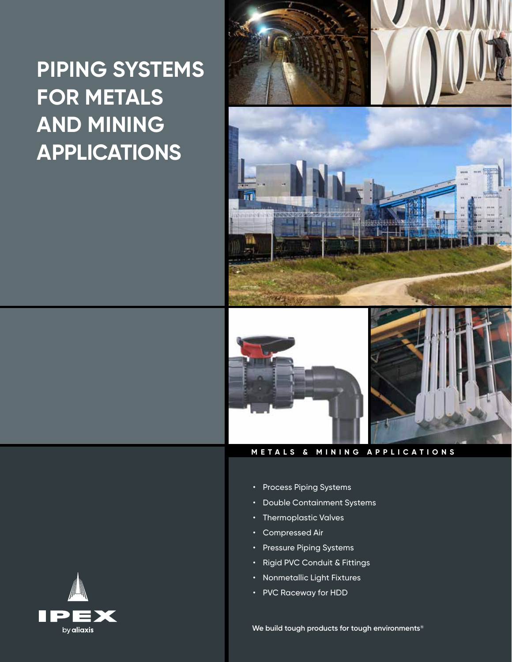# **PIPING SYSTEMS FOR METALS AND MINING APPLICATIONS**







**METALS & MINING APPLICATIONS**

- Process Piping Systems
- Double Containment Systems
- Thermoplastic Valves
- Compressed Air
- Pressure Piping Systems
- Rigid PVC Conduit & Fittings
- Nonmetallic Light Fixtures
- PVC Raceway for HDD

**We build tough products for tough environments®**

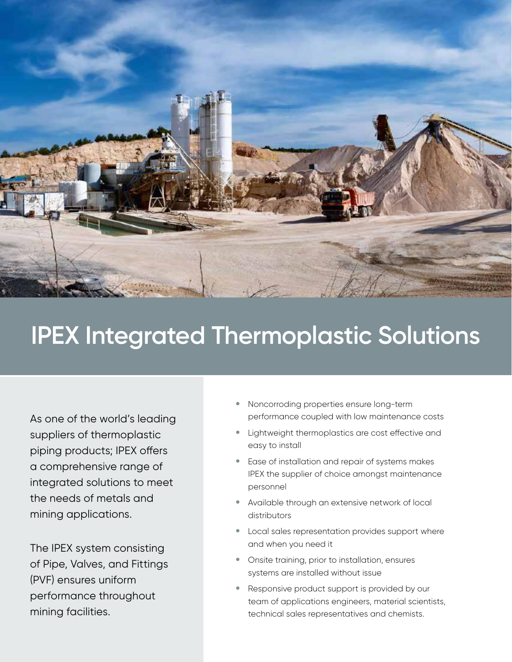

# **IPEX Integrated Thermoplastic Solutions**

As one of the world's leading suppliers of thermoplastic piping products; IPEX offers a comprehensive range of integrated solutions to meet the needs of metals and mining applications.

The IPEX system consisting of Pipe, Valves, and Fittings (PVF) ensures uniform performance throughout mining facilities.

- **•** Noncorroding properties ensure long-term performance coupled with low maintenance costs
- **•** Lightweight thermoplastics are cost effective and easy to install
- **•** Ease of installation and repair of systems makes IPEX the supplier of choice amongst maintenance personnel
- **•** Available through an extensive network of local distributors
- **•** Local sales representation provides support where and when you need it
- **•** Onsite training, prior to installation, ensures systems are installed without issue
- **•** Responsive product support is provided by our team of applications engineers, material scientists, technical sales representatives and chemists.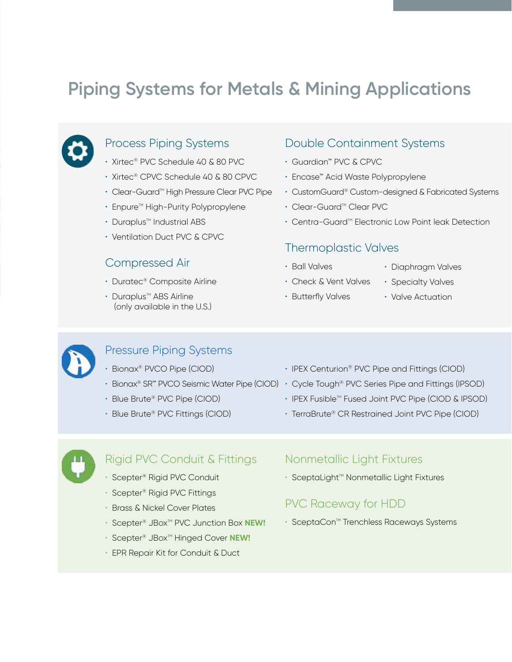# **Piping Systems for Metals & Mining Applications**

### Process Piping Systems

- Xirtec® PVC Schedule 40 & 80 PVC
- Xirtec® CPVC Schedule 40 & 80 CPVC
- Clear-Guard™ High Pressure Clear PVC Pipe
- Enpure<sup>™</sup> High-Purity Polypropylene
- $\cdot$  Duraplus<sup>™</sup> Industrial ABS
- Ventilation Duct PVC & CPVC

### Compressed Air

- Duratec® Composite Airline
- $\cdot$  Duraplus<sup> $M$ </sup> ABS Airline (only available in the U.S.)

### Double Containment Systems

- Guardian™ PVC & CPVC
- Encase™ Acid Waste Polypropylene
- CustomGuard® Custom-designed & Fabricated Systems
- Clear-Guard™ Clear PVC
- Centra-Guard<sup>™</sup> Electronic Low Point leak Detection

### Thermoplastic Valves

- Ball Valves
- Diaphragm Valves
- Check & Vent Valves

• Butterfly Valves

• Specialty Valves • Valve Actuation



### Pressure Piping Systems

- Bionax® PVCO Pipe (CIOD)
- 
- Blue Brute® PVC Pipe (CIOD)
- Blue Brute® PVC Fittings (CIOD)
- IPEX Centurion® PVC Pipe and Fittings (CIOD)
- Bionax® SR™ PVCO Seismic Water Pipe (CIOD) Cycle Tough® PVC Series Pipe and Fittings (IPSOD)
	- IPEX Fusible™ Fused Joint PVC Pipe (CIOD & IPSOD)
	- TerraBrute® CR Restrained Joint PVC Pipe (CIOD)



### Rigid PVC Conduit & Fittings

- Scepter® Rigid PVC Conduit
- Scepter® Rigid PVC Fittings
- Brass & Nickel Cover Plates
- Scepter<sup>®</sup> JBox<sup>™</sup> PVC Junction Box **NEW!**
- Scepter® JBox<sup>™</sup> Hinged Cover **NEW!**
- EPR Repair Kit for Conduit & Duct

### Nonmetallic Light Fixtures

• SceptaLight™ Nonmetallic Light Fixtures

### PVC Raceway for HDD

• SceptaCon<sup>M</sup> Trenchless Raceways Systems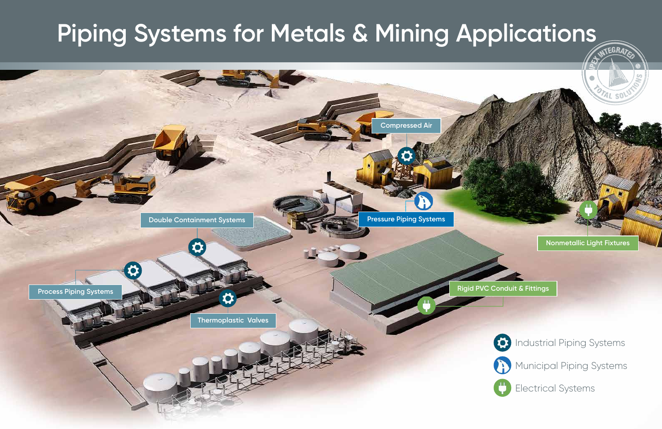### **Nonmetallic Light Fixtures**



# **Piping Systems for Metals & Mining Applications**





Electrical Systems

**Rigid PVC Conduit & Fittings**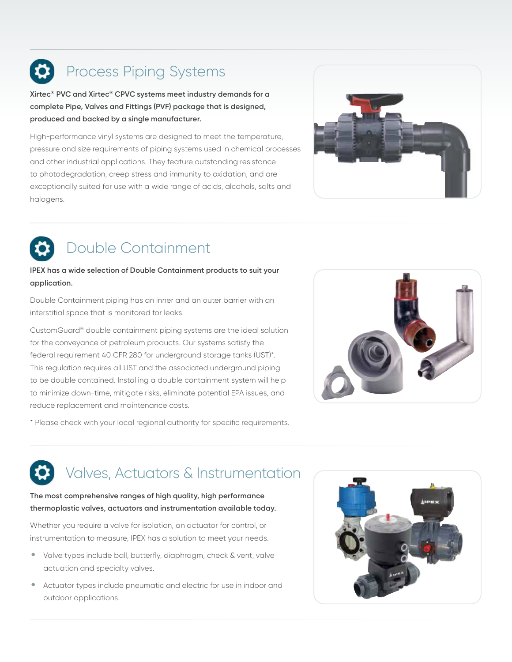# Process Piping Systems

**Xirtec® PVC and Xirtec® CPVC systems meet industry demands for a complete Pipe, Valves and Fittings (PVF) package that is designed, produced and backed by a single manufacturer.** 

High-performance vinyl systems are designed to meet the temperature, pressure and size requirements of piping systems used in chemical processes and other industrial applications. They feature outstanding resistance to photodegradation, creep stress and immunity to oxidation, and are exceptionally suited for use with a wide range of acids, alcohols, salts and halogens.



# Double Containment

### **IPEX has a wide selection of Double Containment products to suit your application.**

Double Containment piping has an inner and an outer barrier with an interstitial space that is monitored for leaks.

CustomGuard® double containment piping systems are the ideal solution for the conveyance of petroleum products. Our systems satisfy the federal requirement 40 CFR 280 for underground storage tanks (UST)\*. This regulation requires all UST and the associated underground piping to be double contained. Installing a double containment system will help to minimize down-time, mitigate risks, eliminate potential EPA issues, and reduce replacement and maintenance costs.



\* Please check with your local regional authority for specific requirements.

# Valves, Actuators & Instrumentation

### **The most comprehensive ranges of high quality, high performance thermoplastic valves, actuators and instrumentation available today.**

Whether you require a valve for isolation, an actuator for control, or instrumentation to measure, IPEX has a solution to meet your needs.

- Valve types include ball, butterfly, diaphragm, check & vent, valve actuation and specialty valves.
- Actuator types include pneumatic and electric for use in indoor and outdoor applications.

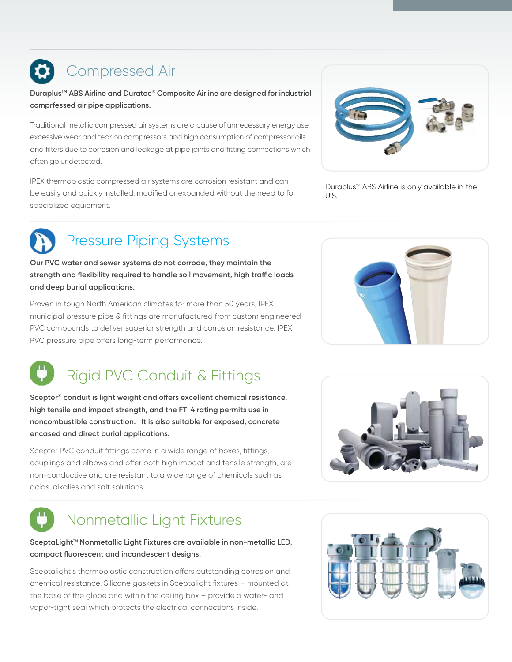# Compressed Air

**DuraplusTM ABS Airline and Duratec® Composite Airline are designed for industrial comprfessed air pipe applications.**

Traditional metallic compressed air systems are a cause of unnecessary energy use, excessive wear and tear on compressors and high consumption of compressor oils and filters due to corrosion and leakage at pipe joints and fitting connections which often go undetected.

IPEX thermoplastic compressed air systems are corrosion resistant and can be easily and quickly installed, modified or expanded without the need to for specialized equipment.



Duraplus™ ABS Airline is only available in the U.S.



## Pressure Piping Systems

**Our PVC water and sewer systems do not corrode, they maintain the strength and flexibility required to handle soil movement, high traffic loads and deep burial applications.**

Proven in tough North American climates for more than 50 years, IPEX municipal pressure pipe & fittings are manufactured from custom engineered PVC compounds to deliver superior strength and corrosion resistance. IPEX PVC pressure pipe offers long-term performance.

# Rigid PVC Conduit & Fittings

**Scepter® conduit is light weight and offers excellent chemical resistance, high tensile and impact strength, and the FT-4 rating permits use in noncombustible construction. It is also suitable for exposed, concrete encased and direct burial applications.**

Scepter PVC conduit fittings come in a wide range of boxes, fittings, couplings and elbows and offer both high impact and tensile strength, are non-conductive and are resistant to a wide range of chemicals such as acids, alkalies and salt solutions.





# Nonmetallic Light Fixtures

### SceptaLight<sup>™</sup> Nonmetallic Light Fixtures are available in non-metallic LED, **compact fluorescent and incandescent designs.**

Sceptalight's thermoplastic construction offers outstanding corrosion and chemical resistance. Silicone gaskets in Sceptalight fixtures – mounted at the base of the globe and within the ceiling box – provide a water- and vapor-tight seal which protects the electrical connections inside.